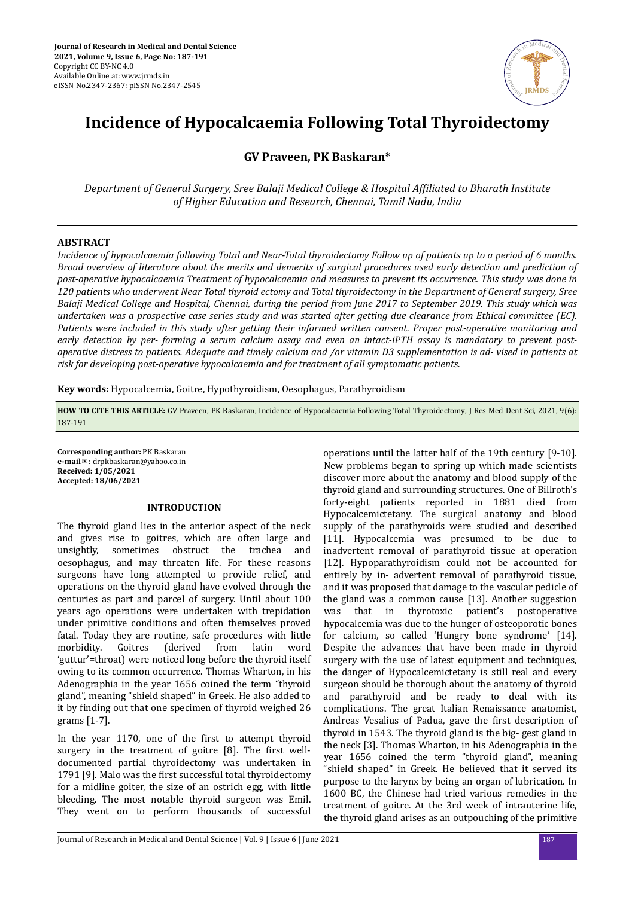

# **Incidence of Hypocalcaemia Following Total Thyroidectomy**

**GV Praveen, PK Baskaran\***

*Department of General Surgery, Sree Balaji Medical College & Hospital fϔed to Bharath Institute of Higher Education and Research, Chennai, Tamil Nadu, India*

# **ABSTRACT**

*Incidence of hypocalcaemia following Total and Near-Total thyroidectomy Follow up of patients up to a period of 6 months. Broad overview of literature about the merits and demerits of surgical procedures used early detection and prediction of post-operative hypocalcaemia Treatment of hypocalcaemia and measures to prevent its occurrence. This study was done in 120 patients who underwent Near Total thyroid ectomy and Total thyroidectomy in the Department of General surgery, Sree Balaji Medical College and Hospital, Chennai, during the period from June 2017 to September 2019. This study which was undertaken was a prospective case series study and was started after getting due clearance from Ethical committee (EC). Patients were included in this study after getting their informed written consent. Proper post-operative monitoring and early detection by per- forming a serum calcium assay and even an intact-iPTH assay is mandatory to prevent postoperative distress to patients. Adequate and timely calcium and /or vitamin D3 supplementation is ad- vised in patients at risk for developing post-operative hypocalcaemia and for treatment of all symptomatic patients.*

**Key words:** Hypocalcemia, Goitre, Hypothyroidism, Oesophagus, Parathyroidism

**HOW TO CITE THIS ARTICLE:** GV Praveen, PK Baskaran, Incidence of Hypocalcaemia Following Total Thyroidectomy, J Res Med Dent Sci, 2021, 9(6): 187-191

**Corresponding author:** PK Baskaran **e-mail**✉: drpkbaskaran@yahoo.co.in **Received: 1/05/2021 Accepted: 18/06/2021** 

## **INTRODUCTION**

The thyroid gland lies in the anterior aspect of the neck and gives rise to goitres, which are often large and unsightly, sometimes obstruct the trachea and oesophagus, and may threaten life. For these reasons surgeons have long attempted to provide relief, and operations on the thyroid gland have evolved through the centuries as part and parcel of surgery. Until about 100 years ago operations were undertaken with trepidation under primitive conditions and often themselves proved fatal. Today they are routine, safe procedures with little morbidity. Goitres (derived from latin word 'guttur'=throat) were noticed long before the thyroid itself owing to its common occurrence. Thomas Wharton, in his Adenographia in the year 1656 coined the term "thyroid gland", meaning "shield shaped" in Greek. He also added to it by finding out that one specimen of thyroid weighed 26 grams [1-7].

In the year 1170, one of the first to attempt thyroid surgery in the treatment of goitre [8]. The first welldocumented partial thyroidectomy was undertaken in 1791 [9]. Malo was the first successful total thyroidectomy for a midline goiter, the size of an ostrich egg, with little bleeding. The most notable thyroid surgeon was Emil. They went on to perform thousands of successful operations until the latter half of the 19th century [9-10]. New problems began to spring up which made scientists discover more about the anatomy and blood supply of the thyroid gland and surrounding structures. One of Billroth's forty-eight patients reported in 1881 died from Hypocalcemictetany. The surgical anatomy and blood supply of the parathyroids were studied and described [11]. Hypocalcemia was presumed to be due to inadvertent removal of parathyroid tissue at operation [12]. Hypoparathyroidism could not be accounted for entirely by in- advertent removal of parathyroid tissue, and it was proposed that damage to the vascular pedicle of the gland was a common cause [13]. Another suggestion was that in thyrotoxic patient's postoperative hypocalcemia was due to the hunger of osteoporotic bones for calcium, so called 'Hungry bone syndrome' [14]. Despite the advances that have been made in thyroid surgery with the use of latest equipment and techniques, the danger of Hypocalcemictetany is still real and every surgeon should be thorough about the anatomy of thyroid and parathyroid and be ready to deal with its complications. The great Italian Renaissance anatomist, Andreas Vesalius of Padua, gave the first description of thyroid in 1543. The thyroid gland is the big- gest gland in the neck [3]. Thomas Wharton, in his Adenographia in the year 1656 coined the term "thyroid gland", meaning "shield shaped" in Greek. He believed that it served its purpose to the larynx by being an organ of lubrication. In 1600 BC, the Chinese had tried various remedies in the treatment of goitre. At the 3rd week of intrauterine life, the thyroid gland arises as an outpouching of the primitive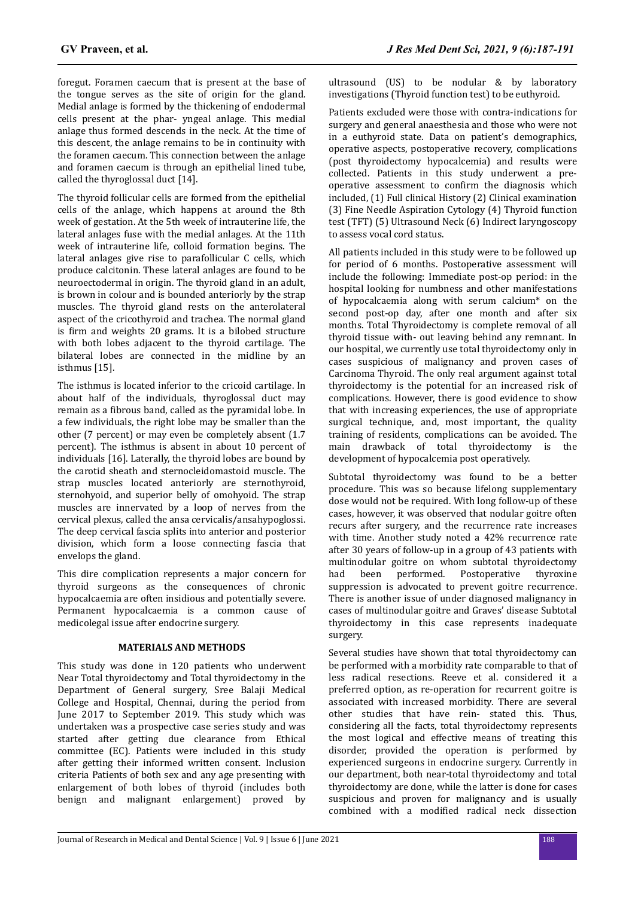foregut. Foramen caecum that is present at the base of the tongue serves as the site of origin for the gland. Medial anlage is formed by the thickening of endodermal cells present at the phar- yngeal anlage. This medial anlage thus formed descends in the neck. At the time of this descent, the anlage remains to be in continuity with the foramen caecum. This connection between the anlage and foramen caecum is through an epithelial lined tube, called the thyroglossal duct [14].

The thyroid follicular cells are formed from the epithelial cells of the anlage, which happens at around the 8th week of gestation. At the 5th week of intrauterine life, the lateral anlages fuse with the medial anlages. At the 11th week of intrauterine life, colloid formation begins. The lateral anlages give rise to parafollicular C cells, which produce calcitonin. These lateral anlages are found to be neuroectodermal in origin. The thyroid gland in an adult, is brown in colour and is bounded anteriorly by the strap muscles. The thyroid gland rests on the anterolateral aspect of the cricothyroid and trachea. The normal gland is firm and weights 20 grams. It is a bilobed structure with both lobes adjacent to the thyroid cartilage. The bilateral lobes are connected in the midline by an isthmus [15].

The isthmus is located inferior to the cricoid cartilage. In about half of the individuals, thyroglossal duct may remain as a fibrous band, called as the pyramidal lobe. In a few individuals, the right lobe may be smaller than the other (7 percent) or may even be completely absent (1.7 percent). The isthmus is absent in about 10 percent of individuals [16]. Laterally, the thyroid lobes are bound by the carotid sheath and sternocleidomastoid muscle. The strap muscles located anteriorly are sternothyroid, sternohyoid, and superior belly of omohyoid. The strap muscles are innervated by a loop of nerves from the cervical plexus, called the ansa cervicalis/ansahypoglossi. The deep cervical fascia splits into anterior and posterior division, which form a loose connecting fascia that envelops the gland.

This dire complication represents a major concern for thyroid surgeons as the consequences of chronic hypocalcaemia are often insidious and potentially severe. Permanent hypocalcaemia is a common cause of medicolegal issue after endocrine surgery.

## **MATERIALS AND METHODS**

This study was done in 120 patients who underwent Near Total thyroidectomy and Total thyroidectomy in the Department of General surgery, Sree Balaji Medical College and Hospital, Chennai, during the period from June 2017 to September 2019. This study which was undertaken was a prospective case series study and was started after getting due clearance from Ethical committee (EC). Patients were included in this study after getting their informed written consent. Inclusion criteria Patients of both sex and any age presenting with enlargement of both lobes of thyroid (includes both benign and malignant enlargement) proved by ultrasound (US) to be nodular & by laboratory investigations (Thyroid function test) to be euthyroid.

Patients excluded were those with contra-indications for surgery and general anaesthesia and those who were not in a euthyroid state. Data on patient's demographics, operative aspects, postoperative recovery, complications (post thyroidectomy hypocalcemia) and results were collected. Patients in this study underwent a preoperative assessment to confirm the diagnosis which included, (1) Full clinical History (2) Clinical examination (3) Fine Needle Aspiration Cytology (4) Thyroid function test (TFT) (5) Ultrasound Neck (6) Indirect laryngoscopy to assess vocal cord status.

All patients included in this study were to be followed up for period of 6 months. Postoperative assessment will include the following: Immediate post-op period: in the hospital looking for numbness and other manifestations of hypocalcaemia along with serum calcium\* on the second post-op day, after one month and after six months. Total Thyroidectomy is complete removal of all thyroid tissue with- out leaving behind any remnant. In our hospital, we currently use total thyroidectomy only in cases suspicious of malignancy and proven cases of Carcinoma Thyroid. The only real argument against total thyroidectomy is the potential for an increased risk of complications. However, there is good evidence to show that with increasing experiences, the use of appropriate surgical technique, and, most important, the quality training of residents, complications can be avoided. The main drawback of total thyroidectomy is the development of hypocalcemia post operatively.

Subtotal thyroidectomy was found to be a better procedure. This was so because lifelong supplementary dose would not be required. With long follow-up of these cases, however, it was observed that nodular goitre often recurs after surgery, and the recurrence rate increases with time. Another study noted a 42% recurrence rate after 30 years of follow-up in a group of 43 patients with multinodular goitre on whom subtotal thyroidectomy had been performed. Postoperative thyroxine suppression is advocated to prevent goitre recurrence. There is another issue of under diagnosed malignancy in cases of multinodular goitre and Graves' disease Subtotal thyroidectomy in this case represents inadequate surgery.

Several studies have shown that total thyroidectomy can be performed with a morbidity rate comparable to that of less radical resections. Reeve et al. considered it a preferred option, as re-operation for recurrent goitre is associated with increased morbidity. There are several other studies that have rein- stated this. Thus, considering all the facts, total thyroidectomy represents the most logical and effective means of treating this disorder, provided the operation is performed by experienced surgeons in endocrine surgery. Currently in our department, both near-total thyroidectomy and total thyroidectomy are done, while the latter is done for cases suspicious and proven for malignancy and is usually combined with a modified radical neck dissection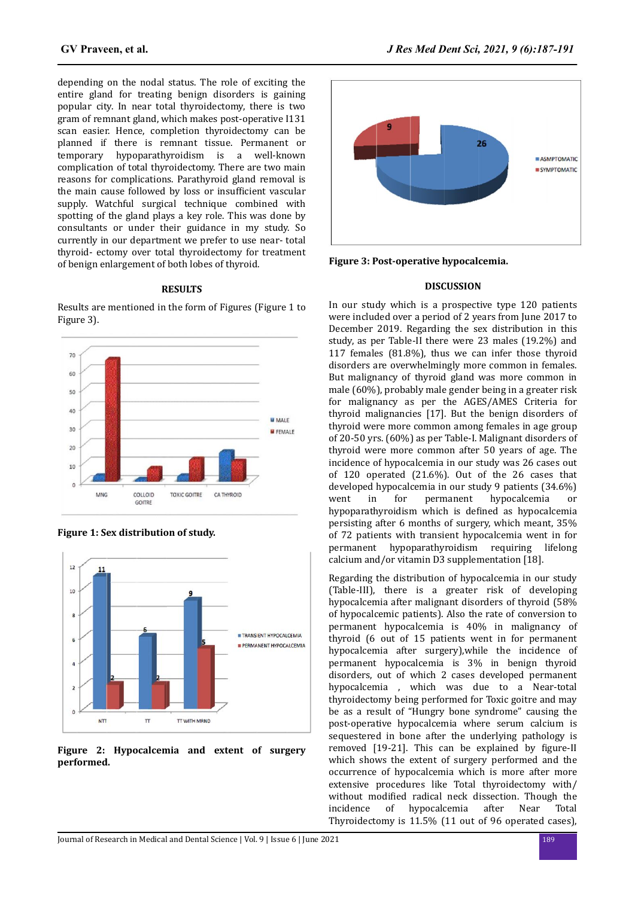depending on the nodal status. The role of exciting the entire gland for treating benign disorders is gaining popular city. In near total thyroidectomy, there is two gram of remnant gland, which makes post-operative I131 scan easier. Hence, completion thyroidectomy can be planned if there is remnant tissue. Permanent or temporary hypoparathyroidism is a well-known complication of total thyroidectomy. There are two main reasons for complications. Parathyroid gland removal is the main cause followed by loss or insufficient vascular supply. Watchful surgical technique combined with spotting of the gland plays a key role. This was done by consultants or under their guidance in my study. So currently in our department we prefer to use near- total thyroid- ectomy over total thyroidectomy for treatment of benign enlargement of both lobes of thyroid.

## **RESULTS**

Results are mentioned in the form of Figures (Figure 1 to Figure 3).



**Figure 1: Sex distribution of study.**



**Figure 2: Hypocalcemia and extent of surgery performed.**



**Figure 3: Post-operative hypocalcemia.**

### **DISCUSSION**

In our study which is a prospective type 120 patients were included over a period of 2 years from June 2017 to December 2019. Regarding the sex distribution in this study, as per Table-II there were 23 males (19.2%) and 117 females (81.8%), thus we can infer those thyroid disorders are overwhelmingly more common in females. But malignancy of thyroid gland was more common in male (60%), probably male gender being in a greater risk for malignancy as per the AGES/AMES Criteria for thyroid malignancies [17]. But the benign disorders of thyroid were more common among females in age group of 20-50 yrs. (60%) as per Table-I. Malignant disorders of thyroid were more common after 50 years of age. The incidence of hypocalcemia in our study was 26 cases out of 120 operated (21.6%). Out of the 26 cases that developed hypocalcemia in our study 9 patients (34.6%) went in for permanent hypocalcemia or hypoparathyroidism which is defined as hypocalcemia persisting after 6 months of surgery, which meant, 35% of 72 patients with transient hypocalcemia went in for permanent hypoparathyroidism requiring lifelong calcium and/or vitamin D3 supplementation [18].

Regarding the distribution of hypocalcemia in our study (Table-III), there is a greater risk of developing hypocalcemia after malignant disorders of thyroid (58% of hypocalcemic patients). Also the rate of conversion to permanent hypocalcemia is 40% in malignancy of thyroid (6 out of 15 patients went in for permanent hypocalcemia after surgery),while the incidence of permanent hypocalcemia is 3% in benign thyroid disorders, out of which 2 cases developed permanent hypocalcemia , which was due to a Near-total thyroidectomy being performed for Toxic goitre and may be as a result of "Hungry bone syndrome" causing the post-operative hypocalcemia where serum calcium is sequestered in bone after the underlying pathology is removed  $[19-21]$ . This can be explained by figure-II which shows the extent of surgery performed and the occurrence of hypocalcemia which is more after more extensive procedures like Total thyroidectomy with/ without modified radical neck dissection. Though the incidence of hypocalcemia after Near Total Thyroidectomy is 11.5% (11 out of 96 operated cases),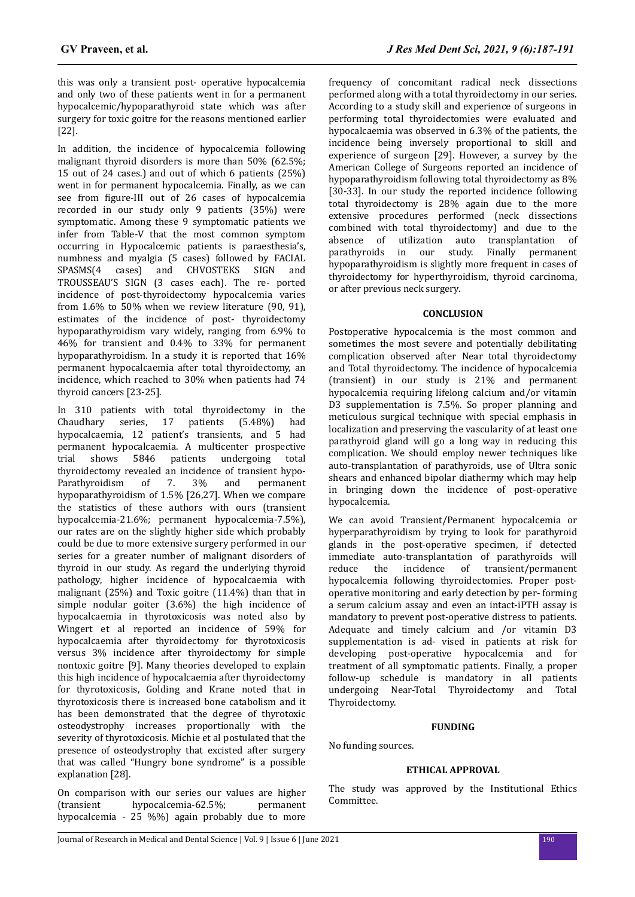this was only a transient post- operative hypocalcemia and only two of these patients went in for a permanent hypocalcemic/hypoparathyroid state which was after surgery for toxic goitre for the reasons mentioned earlier [22].

In addition, the incidence of hypocalcemia following malignant thyroid disorders is more than 50% (62.5%; 15 out of 24 cases.) and out of which 6 patients (25%) went in for permanent hypocalcemia. Finally, as we can see from figure-III out of 26 cases of hypocalcemia recorded in our study only 9 patients (35%) were symptomatic. Among these 9 symptomatic patients we infer from Table-V that the most common symptom occurring in Hypocalcemic patients is paraesthesia's, numbness and myalgia (5 cases) followed by FACIAL SPASMS(4 cases) and CHVOSTEKS SIGN and TROUSSEAU'S SIGN (3 cases each). The re- ported incidence of post-thyroidectomy hypocalcemia varies from 1.6% to 50% when we review literature (90, 91), estimates of the incidence of post- thyroidectomy hypoparathyroidism vary widely, ranging from 6.9% to 46% for transient and 0.4% to 33% for permanent hypoparathyroidism. In a study it is reported that 16% permanent hypocalcaemia after total thyroidectomy, an incidence, which reached to 30% when patients had 74 thyroid cancers [23-25].

In 310 patients with total thyroidectomy in the Chaudhary series, 17 patients (5.48%) had hypocalcaemia, 12 patient's transients, and 5 had permanent hypocalcaemia. A multicenter prospective trial shows 5846 patients undergoing total thyroidectomy revealed an incidence of transient hypo-Parathyroidism of 7. 3% and permanent hypoparathyroidism of 1.5% [26,27]. When we compare the statistics of these authors with ours (transient hypocalcemia-21.6%; permanent hypocalcemia-7.5%), our rates are on the slightly higher side which probably could be due to more extensive surgery performed in our series for a greater number of malignant disorders of thyroid in our study. As regard the underlying thyroid pathology, higher incidence of hypocalcaemia with malignant (25%) and Toxic goitre (11.4%) than that in simple nodular goiter (3.6%) the high incidence of hypocalcaemia in thyrotoxicosis was noted also by Wingert et al reported an incidence of 59% for hypocalcaemia after thyroidectomy for thyrotoxicosis versus 3% incidence after thyroidectomy for simple nontoxic goitre [9]. Many theories developed to explain this high incidence of hypocalcaemia after thyroidectomy for thyrotoxicosis, Golding and Krane noted that in thyrotoxicosis there is increased bone catabolism and it has been demonstrated that the degree of thyrotoxic osteodystrophy increases proportionally with the severity of thyrotoxicosis. Michie et al postulated that the presence of osteodystrophy that excisted after surgery that was called "Hungry bone syndrome" is a possible explanation [28].

On comparison with our series our values are higher (transient hypocalcemia-62.5%; permanent hypocalcemia - 25 %%) again probably due to more

frequency of concomitant radical neck dissections performed along with a total thyroidectomy in our series. According to a study skill and experience of surgeons in performing total thyroidectomies were evaluated and hypocalcaemia was observed in 6.3% of the patients, the incidence being inversely proportional to skill and experience of surgeon [29]. However, a survey by the American College of Surgeons reported an incidence of hypoparathyroidism following total thyroidectomy as 8% [30-33]. In our study the reported incidence following total thyroidectomy is 28% again due to the more extensive procedures performed (neck dissections combined with total thyroidectomy) and due to the absence of utilization auto transplantation of parathyroids in our study. Finally permanent hypoparathyroidism is slightly more frequent in cases of thyroidectomy for hyperthyroidism, thyroid carcinoma, or after previous neck surgery.

# **CONCLUSION**

Postoperative hypocalcemia is the most common and sometimes the most severe and potentially debilitating complication observed after Near total thyroidectomy and Total thyroidectomy. The incidence of hypocalcemia (transient) in our study is 21% and permanent hypocalcemia requiring lifelong calcium and/or vitamin D3 supplementation is 7.5%. So proper planning and meticulous surgical technique with special emphasis in localization and preserving the vascularity of at least one parathyroid gland will go a long way in reducing this complication. We should employ newer techniques like auto-transplantation of parathyroids, use of Ultra sonic shears and enhanced bipolar diathermy which may help in bringing down the incidence of post-operative hypocalcemia.

We can avoid Transient/Permanent hypocalcemia or hyperparathyroidism by trying to look for parathyroid glands in the post-operative specimen, if detected immediate auto-transplantation of parathyroids will reduce the incidence of transient/permanent hypocalcemia following thyroidectomies. Proper postoperative monitoring and early detection by per- forming a serum calcium assay and even an intact-iPTH assay is mandatory to prevent post-operative distress to patients. Adequate and timely calcium and /or vitamin D3 supplementation is ad- vised in patients at risk for developing post-operative hypocalcemia and for treatment of all symptomatic patients. Finally, a proper follow-up schedule is mandatory in all patients undergoing Near-Total Thyroidectomy and Total Thyroidectomy.

## **FUNDING**

No funding sources.

# **ETHICAL APPROVAL**

The study was approved by the Institutional Ethics Committee.